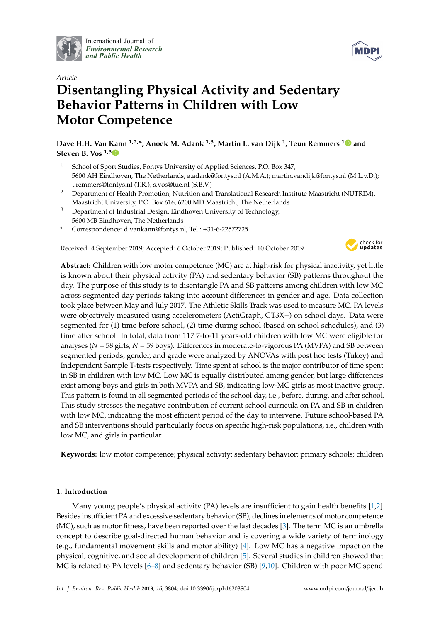

International Journal of *[Environmental Research](http://www.mdpi.com/journal/ijerph) and Public Health*



# *Article* **Disentangling Physical Activity and Sedentary Behavior Patterns in Children with Low Motor Competence**

**Dave H.H. Van Kann 1,2,\*, Anoek M. Adank 1,3, Martin L. van Dijk <sup>1</sup> , Teun Remmers [1](https://orcid.org/0000-0002-5921-7509) and Steven B. Vos 1,[3](https://orcid.org/0000-0002-7865-0965)**

- <sup>1</sup> School of Sport Studies, Fontys University of Applied Sciences, P.O. Box 347, 5600 AH Eindhoven, The Netherlands; a.adank@fontys.nl (A.M.A.); martin.vandijk@fontys.nl (M.L.v.D.); t.remmers@fontys.nl (T.R.); s.vos@tue.nl (S.B.V.)
- <sup>2</sup> Department of Health Promotion, Nutrition and Translational Research Institute Maastricht (NUTRIM), Maastricht University, P.O. Box 616, 6200 MD Maastricht, The Netherlands
- <sup>3</sup> Department of Industrial Design, Eindhoven University of Technology, 5600 MB Eindhoven, The Netherlands
- **\*** Correspondence: d.vankann@fontys.nl; Tel.: +31-6-22572725

Received: 4 September 2019; Accepted: 6 October 2019; Published: 10 October 2019



**Abstract:** Children with low motor competence (MC) are at high-risk for physical inactivity, yet little is known about their physical activity (PA) and sedentary behavior (SB) patterns throughout the day. The purpose of this study is to disentangle PA and SB patterns among children with low MC across segmented day periods taking into account differences in gender and age. Data collection took place between May and July 2017. The Athletic Skills Track was used to measure MC. PA levels were objectively measured using accelerometers (ActiGraph, GT3X+) on school days. Data were segmented for (1) time before school, (2) time during school (based on school schedules), and (3) time after school. In total, data from 117 7-to-11 years-old children with low MC were eligible for analyses (*N* = 58 girls; *N* = 59 boys). Differences in moderate-to-vigorous PA (MVPA) and SB between segmented periods, gender, and grade were analyzed by ANOVAs with post hoc tests (Tukey) and Independent Sample T-tests respectively. Time spent at school is the major contributor of time spent in SB in children with low MC. Low MC is equally distributed among gender, but large differences exist among boys and girls in both MVPA and SB, indicating low-MC girls as most inactive group. This pattern is found in all segmented periods of the school day, i.e., before, during, and after school. This study stresses the negative contribution of current school curricula on PA and SB in children with low MC, indicating the most efficient period of the day to intervene. Future school-based PA and SB interventions should particularly focus on specific high-risk populations, i.e., children with low MC, and girls in particular.

**Keywords:** low motor competence; physical activity; sedentary behavior; primary schools; children

# **1. Introduction**

Many young people's physical activity (PA) levels are insufficient to gain health benefits [\[1,](#page-7-0)[2\]](#page-7-1). Besides insufficient PA and excessive sedentary behavior (SB), declines in elements of motor competence (MC), such as motor fitness, have been reported over the last decades [\[3\]](#page-7-2). The term MC is an umbrella concept to describe goal-directed human behavior and is covering a wide variety of terminology (e.g., fundamental movement skills and motor ability) [\[4\]](#page-7-3). Low MC has a negative impact on the physical, cognitive, and social development of children [\[5\]](#page-7-4). Several studies in children showed that MC is related to PA levels [\[6](#page-7-5)[–8\]](#page-8-0) and sedentary behavior (SB) [\[9,](#page-8-1)[10\]](#page-8-2). Children with poor MC spend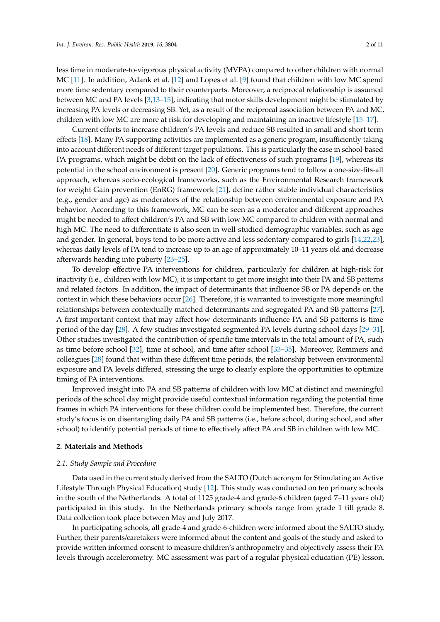less time in moderate-to-vigorous physical activity (MVPA) compared to other children with normal MC [\[11\]](#page-8-3). In addition, Adank et al. [\[12\]](#page-8-4) and Lopes et al. [\[9\]](#page-8-1) found that children with low MC spend more time sedentary compared to their counterparts. Moreover, a reciprocal relationship is assumed between MC and PA levels [\[3](#page-7-2)[,13](#page-8-5)[–15\]](#page-8-6), indicating that motor skills development might be stimulated by increasing PA levels or decreasing SB. Yet, as a result of the reciprocal association between PA and MC, children with low MC are more at risk for developing and maintaining an inactive lifestyle [\[15](#page-8-6)[–17\]](#page-8-7).

Current efforts to increase children's PA levels and reduce SB resulted in small and short term effects [\[18\]](#page-8-8). Many PA supporting activities are implemented as a generic program, insufficiently taking into account different needs of different target populations. This is particularly the case in school-based PA programs, which might be debit on the lack of effectiveness of such programs [\[19\]](#page-8-9), whereas its potential in the school environment is present [\[20\]](#page-8-10). Generic programs tend to follow a one-size-fits-all approach, whereas socio-ecological frameworks, such as the Environmental Research framework for weight Gain prevention (EnRG) framework [\[21\]](#page-8-11), define rather stable individual characteristics (e.g., gender and age) as moderators of the relationship between environmental exposure and PA behavior. According to this framework, MC can be seen as a moderator and different approaches might be needed to affect children's PA and SB with low MC compared to children with normal and high MC. The need to differentiate is also seen in well-studied demographic variables, such as age and gender. In general, boys tend to be more active and less sedentary compared to girls [\[14,](#page-8-12)[22,](#page-8-13)[23\]](#page-8-14), whereas daily levels of PA tend to increase up to an age of approximately 10–11 years old and decrease afterwards heading into puberty [\[23–](#page-8-14)[25\]](#page-8-15).

To develop effective PA interventions for children, particularly for children at high-risk for inactivity (i.e., children with low MC), it is important to get more insight into their PA and SB patterns and related factors. In addition, the impact of determinants that influence SB or PA depends on the context in which these behaviors occur [\[26\]](#page-8-16). Therefore, it is warranted to investigate more meaningful relationships between contextually matched determinants and segregated PA and SB patterns [\[27\]](#page-9-0). A first important context that may affect how determinants influence PA and SB patterns is time period of the day [\[28\]](#page-9-1). A few studies investigated segmented PA levels during school days [\[29–](#page-9-2)[31\]](#page-9-3). Other studies investigated the contribution of specific time intervals in the total amount of PA, such as time before school [\[32\]](#page-9-4), time at school, and time after school [\[33](#page-9-5)[–35\]](#page-9-6). Moreover, Remmers and colleagues [\[28\]](#page-9-1) found that within these different time periods, the relationship between environmental exposure and PA levels differed, stressing the urge to clearly explore the opportunities to optimize timing of PA interventions.

Improved insight into PA and SB patterns of children with low MC at distinct and meaningful periods of the school day might provide useful contextual information regarding the potential time frames in which PA interventions for these children could be implemented best. Therefore, the current study's focus is on disentangling daily PA and SB patterns (i.e., before school, during school, and after school) to identify potential periods of time to effectively affect PA and SB in children with low MC.

# **2. Materials and Methods**

### *2.1. Study Sample and Procedure*

Data used in the current study derived from the SALTO (Dutch acronym for Stimulating an Active Lifestyle Through Physical Education) study [\[12\]](#page-8-4). This study was conducted on ten primary schools in the south of the Netherlands. A total of 1125 grade-4 and grade-6 children (aged 7–11 years old) participated in this study. In the Netherlands primary schools range from grade 1 till grade 8. Data collection took place between May and July 2017.

In participating schools, all grade-4 and grade-6-children were informed about the SALTO study. Further, their parents/caretakers were informed about the content and goals of the study and asked to provide written informed consent to measure children's anthropometry and objectively assess their PA levels through accelerometry. MC assessment was part of a regular physical education (PE) lesson.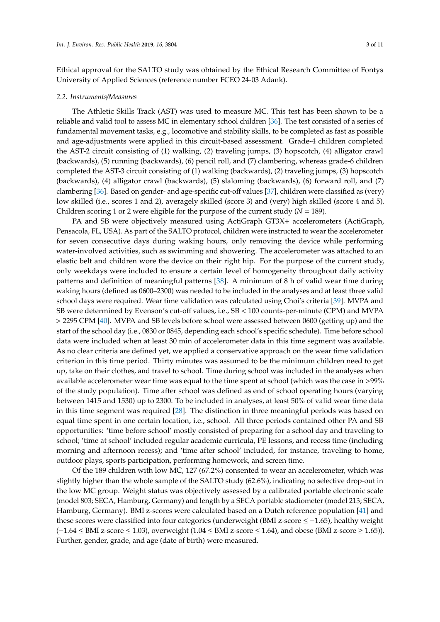Ethical approval for the SALTO study was obtained by the Ethical Research Committee of Fontys University of Applied Sciences (reference number FCEO 24-03 Adank).

#### *2.2. Instruments*/*Measures*

The Athletic Skills Track (AST) was used to measure MC. This test has been shown to be a reliable and valid tool to assess MC in elementary school children [\[36\]](#page-9-7). The test consisted of a series of fundamental movement tasks, e.g., locomotive and stability skills, to be completed as fast as possible and age-adjustments were applied in this circuit-based assessment. Grade-4 children completed the AST-2 circuit consisting of (1) walking, (2) traveling jumps, (3) hopscotch, (4) alligator crawl (backwards), (5) running (backwards), (6) pencil roll, and (7) clambering, whereas grade-6 children completed the AST-3 circuit consisting of (1) walking (backwards), (2) traveling jumps, (3) hopscotch (backwards), (4) alligator crawl (backwards), (5) slaloming (backwards), (6) forward roll, and (7) clambering [\[36\]](#page-9-7). Based on gender- and age-specific cut-off values [\[37\]](#page-9-8), children were classified as (very) low skilled (i.e., scores 1 and 2), averagely skilled (score 3) and (very) high skilled (score 4 and 5). Children scoring 1 or 2 were eligible for the purpose of the current study (*N* = 189).

PA and SB were objectively measured using ActiGraph GT3X+ accelerometers (ActiGraph, Pensacola, FL, USA). As part of the SALTO protocol, children were instructed to wear the accelerometer for seven consecutive days during waking hours, only removing the device while performing water-involved activities, such as swimming and showering. The accelerometer was attached to an elastic belt and children wore the device on their right hip. For the purpose of the current study, only weekdays were included to ensure a certain level of homogeneity throughout daily activity patterns and definition of meaningful patterns [\[38\]](#page-9-9). A minimum of 8 h of valid wear time during waking hours (defined as 0600–2300) was needed to be included in the analyses and at least three valid school days were required. Wear time validation was calculated using Choi's criteria [\[39\]](#page-9-10). MVPA and SB were determined by Evenson's cut-off values, i.e., SB < 100 counts-per-minute (CPM) and MVPA > 2295 CPM [\[40\]](#page-9-11). MVPA and SB levels before school were assessed between 0600 (getting up) and the start of the school day (i.e., 0830 or 0845, depending each school's specific schedule). Time before school data were included when at least 30 min of accelerometer data in this time segment was available. As no clear criteria are defined yet, we applied a conservative approach on the wear time validation criterion in this time period. Thirty minutes was assumed to be the minimum children need to get up, take on their clothes, and travel to school. Time during school was included in the analyses when available accelerometer wear time was equal to the time spent at school (which was the case in >99% of the study population). Time after school was defined as end of school operating hours (varying between 1415 and 1530) up to 2300. To be included in analyses, at least 50% of valid wear time data in this time segment was required [\[28\]](#page-9-1). The distinction in three meaningful periods was based on equal time spent in one certain location, i.e., school. All three periods contained other PA and SB opportunities: 'time before school' mostly consisted of preparing for a school day and traveling to school; 'time at school' included regular academic curricula, PE lessons, and recess time (including morning and afternoon recess); and 'time after school' included, for instance, traveling to home, outdoor plays, sports participation, performing homework, and screen time.

Of the 189 children with low MC, 127 (67.2%) consented to wear an accelerometer, which was slightly higher than the whole sample of the SALTO study (62.6%), indicating no selective drop-out in the low MC group. Weight status was objectively assessed by a calibrated portable electronic scale (model 803; SECA, Hamburg, Germany) and length by a SECA portable stadiometer (model 213; SECA, Hamburg, Germany). BMI z-scores were calculated based on a Dutch reference population [\[41\]](#page-9-12) and these scores were classified into four categories (underweight (BMI z-score ≤ −1.65), healthy weight  $(-1.64 \leq BMI$  z-score  $\leq 1.03$ ), overweight  $(1.04 \leq BMI$  z-score  $\leq 1.64$ ), and obese (BMI z-score  $\geq 1.65$ )). Further, gender, grade, and age (date of birth) were measured.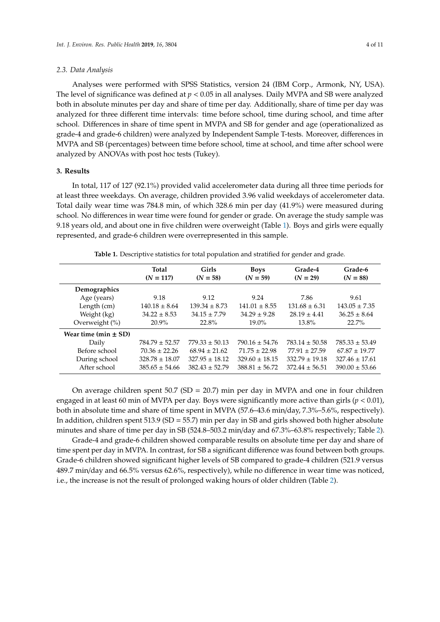### *2.3. Data Analysis*

Analyses were performed with SPSS Statistics, version 24 (IBM Corp., Armonk, NY, USA). The level of significance was defined at *p* < 0.05 in all analyses. Daily MVPA and SB were analyzed both in absolute minutes per day and share of time per day. Additionally, share of time per day was analyzed for three different time intervals: time before school, time during school, and time after school. Differences in share of time spent in MVPA and SB for gender and age (operationalized as grade-4 and grade-6 children) were analyzed by Independent Sample T-tests. Moreover, differences in MVPA and SB (percentages) between time before school, time at school, and time after school were analyzed by ANOVAs with post hoc tests (Tukey).

#### **3. Results**

In total, 117 of 127 (92.1%) provided valid accelerometer data during all three time periods for at least three weekdays. On average, children provided 3.96 valid weekdays of accelerometer data. Total daily wear time was 784.8 min, of which 328.6 min per day (41.9%) were measured during school. No differences in wear time were found for gender or grade. On average the study sample was 9.18 years old, and about one in five children were overweight (Table [1\)](#page-3-0). Boys and girls were equally represented, and grade-6 children were overrepresented in this sample.

<span id="page-3-0"></span>

|                          | <b>Total</b><br>$(N = 117)$ | <b>Girls</b><br>$(N = 58)$ | <b>Boys</b><br>$(N = 59)$ | Grade-4<br>$(N = 29)$ | Grade-6<br>$(N = 88)$ |
|--------------------------|-----------------------------|----------------------------|---------------------------|-----------------------|-----------------------|
| Demographics             |                             |                            |                           |                       |                       |
| Age (years)              | 9.18                        | 9.12                       | 9.24                      | 7.86                  | 9.61                  |
| Length (cm)              | $140.18 \pm 8.64$           | $139.34 \pm 8.73$          | $141.01 \pm 8.55$         | $131.68 \pm 6.31$     | $143.05 \pm 7.35$     |
| Weight (kg)              | $34.22 \pm 8.53$            | $34.15 \pm 7.79$           | $34.29 \pm 9.28$          | $28.19 \pm 4.41$      | $36.25 \pm 8.64$      |
| Overweight (%)           | $20.9\%$                    | 22.8%                      | $19.0\%$                  | $13.8\%$              | 22.7%                 |
| Wear time (min $\pm$ SD) |                             |                            |                           |                       |                       |
| Daily                    | $784.79 \pm 52.57$          | $779.33 \pm 50.13$         | $790.16 \pm 54.76$        | $783.14 \pm 50.58$    | $785.33 \pm 53.49$    |
| Before school            | $70.36 \pm 22.26$           | $68.94 \pm 21.62$          | $71.75 \pm 22.98$         | $77.91 \pm 27.59$     | $67.87 \pm 19.77$     |
| During school            | $328.78 \pm 18.07$          | $327.95 \pm 18.12$         | $329.60 \pm 18.15$        | $332.79 \pm 19.18$    | $327.46 \pm 17.61$    |
| After school             | $385.65 \pm 54.66$          | $382.43 \pm 52.79$         | $388.81 \pm 56.72$        | $372.44 \pm 56.51$    | $390.00 \pm 53.66$    |

**Table 1.** Descriptive statistics for total population and stratified for gender and grade.

On average children spent  $50.7$  (SD = 20.7) min per day in MVPA and one in four children engaged in at least 60 min of MVPA per day. Boys were significantly more active than girls ( $p < 0.01$ ), both in absolute time and share of time spent in MVPA (57.6–43.6 min/day, 7.3%–5.6%, respectively). In addition, children spent 513.9 (SD = 55.7) min per day in SB and girls showed both higher absolute minutes and share of time per day in SB (524.8–503.2 min/day and 67.3%–63.8% respectively; Table [2\)](#page-4-0).

Grade-4 and grade-6 children showed comparable results on absolute time per day and share of time spent per day in MVPA. In contrast, for SB a significant difference was found between both groups. Grade-6 children showed significant higher levels of SB compared to grade-4 children (521.9 versus 489.7 min/day and 66.5% versus 62.6%, respectively), while no difference in wear time was noticed, i.e., the increase is not the result of prolonged waking hours of older children (Table [2\)](#page-4-0).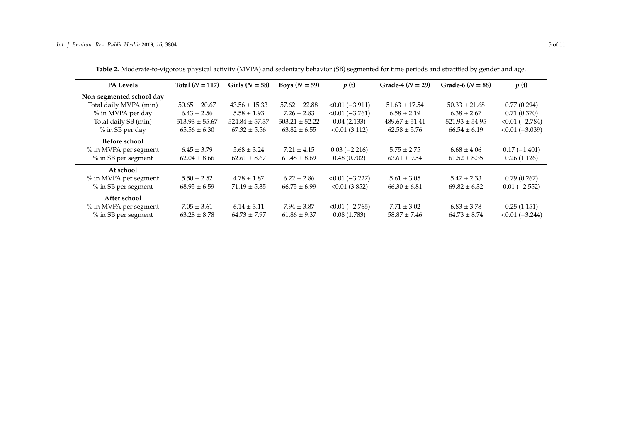<span id="page-4-0"></span>

| <b>PA Levels</b>         | Total $(N = 117)$  | Girls $(N = 58)$   | Boys $(N = 59)$    | p(t)              | Grade-4 $(N = 29)$ | Grade-6 ( $N = 88$ ) | p(t)              |
|--------------------------|--------------------|--------------------|--------------------|-------------------|--------------------|----------------------|-------------------|
| Non-segmented school day |                    |                    |                    |                   |                    |                      |                   |
| Total daily MVPA (min)   | $50.65 \pm 20.67$  | $43.56 \pm 15.33$  | $57.62 \pm 22.88$  | $<0.01$ (-3.911)  | $51.63 \pm 17.54$  | $50.33 \pm 21.68$    | 0.77(0.294)       |
| % in MVPA per day        | $6.43 \pm 2.56$    | $5.58 \pm 1.93$    | $7.26 \pm 2.83$    | $< 0.01 (-3.761)$ | $6.58 \pm 2.19$    | $6.38 \pm 2.67$      | 0.71(0.370)       |
| Total daily SB (min)     | $513.93 \pm 55.67$ | $524.84 \pm 57.37$ | $503.21 \pm 52.22$ | 0.04(2.133)       | $489.67 \pm 51.41$ | $521.93 \pm 54.95$   | $< 0.01 (-2.784)$ |
| % in SB per day          | $65.56 \pm 6.30$   | $67.32 \pm 5.56$   | $63.82 \pm 6.55$   | $< 0.01$ (3.112)  | $62.58 \pm 5.76$   | $66.54 \pm 6.19$     | $< 0.01 (-3.039)$ |
| <b>Before school</b>     |                    |                    |                    |                   |                    |                      |                   |
| % in MVPA per segment    | $6.45 \pm 3.79$    | $5.68 \pm 3.24$    | $7.21 \pm 4.15$    | $0.03(-2.216)$    | $5.75 \pm 2.75$    | $6.68 \pm 4.06$      | $0.17(-1.401)$    |
| % in SB per segment      | $62.04 \pm 8.66$   | $62.61 \pm 8.67$   | $61.48 \pm 8.69$   | 0.48(0.702)       | $63.61 \pm 9.54$   | $61.52 \pm 8.35$     | 0.26(1.126)       |
| At school                |                    |                    |                    |                   |                    |                      |                   |
| % in MVPA per segment    | $5.50 \pm 2.52$    | $4.78 \pm 1.87$    | $6.22 \pm 2.86$    | $< 0.01 (-3.227)$ | $5.61 \pm 3.05$    | $5.47 \pm 2.33$      | 0.79(0.267)       |
| % in SB per segment      | $68.95 \pm 6.59$   | $71.19 \pm 5.35$   | $66.75 \pm 6.99$   | $< 0.01$ (3.852)  | $66.30 \pm 6.81$   | $69.82 \pm 6.32$     | $0.01(-2.552)$    |
| After school             |                    |                    |                    |                   |                    |                      |                   |
| % in MVPA per segment    | $7.05 \pm 3.61$    | $6.14 \pm 3.11$    | $7.94 \pm 3.87$    | $< 0.01 (-2.765)$ | $7.71 \pm 3.02$    | $6.83 \pm 3.78$      | 0.25(1.151)       |
| % in SB per segment      | $63.28 \pm 8.78$   | $64.73 \pm 7.97$   | $61.86 \pm 9.37$   | 0.08(1.783)       | $58.87 \pm 7.46$   | $64.73 \pm 8.74$     | $< 0.01 (-3.244)$ |

**Table 2.** Moderate-to-vigorous physical activity (MVPA) and sedentary behavior (SB) segmented for time periods and stratified by gender and age.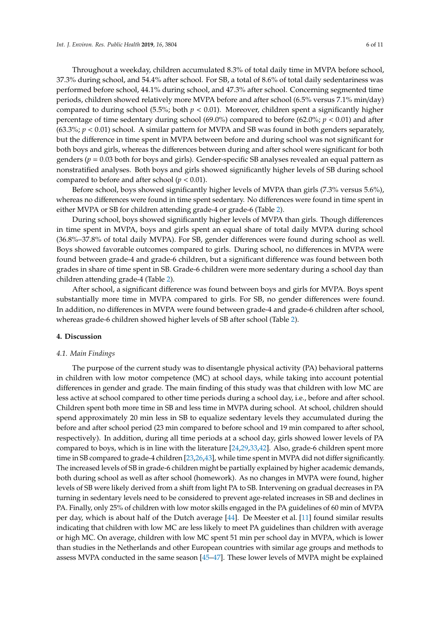Throughout a weekday, children accumulated 8.3% of total daily time in MVPA before school, 37.3% during school, and 54.4% after school. For SB, a total of 8.6% of total daily sedentariness was performed before school, 44.1% during school, and 47.3% after school. Concerning segmented time periods, children showed relatively more MVPA before and after school (6.5% versus 7.1% min/day) compared to during school (5.5%; both  $p < 0.01$ ). Moreover, children spent a significantly higher percentage of time sedentary during school (69.0%) compared to before (62.0%; *p* < 0.01) and after (63.3%; *p* < 0.01) school. A similar pattern for MVPA and SB was found in both genders separately, but the difference in time spent in MVPA between before and during school was not significant for both boys and girls, whereas the differences between during and after school were significant for both genders ( $p = 0.03$  both for boys and girls). Gender-specific SB analyses revealed an equal pattern as nonstratified analyses. Both boys and girls showed significantly higher levels of SB during school compared to before and after school ( $p < 0.01$ ).

Before school, boys showed significantly higher levels of MVPA than girls (7.3% versus 5.6%), whereas no differences were found in time spent sedentary. No differences were found in time spent in either MVPA or SB for children attending grade-4 or grade-6 (Table [2\)](#page-4-0).

During school, boys showed significantly higher levels of MVPA than girls. Though differences in time spent in MVPA, boys and girls spent an equal share of total daily MVPA during school (36.8%–37.8% of total daily MVPA). For SB, gender differences were found during school as well. Boys showed favorable outcomes compared to girls. During school, no differences in MVPA were found between grade-4 and grade-6 children, but a significant difference was found between both grades in share of time spent in SB. Grade-6 children were more sedentary during a school day than children attending grade-4 (Table [2\)](#page-4-0).

After school, a significant difference was found between boys and girls for MVPA. Boys spent substantially more time in MVPA compared to girls. For SB, no gender differences were found. In addition, no differences in MVPA were found between grade-4 and grade-6 children after school, whereas grade-6 children showed higher levels of SB after school (Table [2\)](#page-4-0).

# **4. Discussion**

#### *4.1. Main Findings*

The purpose of the current study was to disentangle physical activity (PA) behavioral patterns in children with low motor competence (MC) at school days, while taking into account potential differences in gender and grade. The main finding of this study was that children with low MC are less active at school compared to other time periods during a school day, i.e., before and after school. Children spent both more time in SB and less time in MVPA during school. At school, children should spend approximately 20 min less in SB to equalize sedentary levels they accumulated during the before and after school period (23 min compared to before school and 19 min compared to after school, respectively). In addition, during all time periods at a school day, girls showed lower levels of PA compared to boys, which is in line with the literature [\[24](#page-8-17)[,29](#page-9-2)[,33](#page-9-5)[,42\]](#page-9-13). Also, grade-6 children spent more time in SB compared to grade-4 children [\[23,](#page-8-14)[26](#page-8-16)[,43\]](#page-9-14), while time spent in MVPA did not differ significantly. The increased levels of SB in grade-6 children might be partially explained by higher academic demands, both during school as well as after school (homework). As no changes in MVPA were found, higher levels of SB were likely derived from a shift from light PA to SB. Intervening on gradual decreases in PA turning in sedentary levels need to be considered to prevent age-related increases in SB and declines in PA. Finally, only 25% of children with low motor skills engaged in the PA guidelines of 60 min of MVPA per day, which is about half of the Dutch average [\[44\]](#page-9-15). De Meester et al. [\[11\]](#page-8-3) found similar results indicating that children with low MC are less likely to meet PA guidelines than children with average or high MC. On average, children with low MC spent 51 min per school day in MVPA, which is lower than studies in the Netherlands and other European countries with similar age groups and methods to assess MVPA conducted in the same season [\[45–](#page-9-16)[47\]](#page-10-0). These lower levels of MVPA might be explained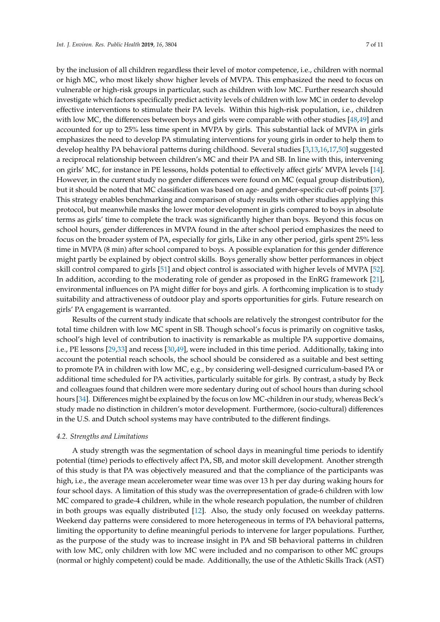by the inclusion of all children regardless their level of motor competence, i.e., children with normal or high MC, who most likely show higher levels of MVPA. This emphasized the need to focus on vulnerable or high-risk groups in particular, such as children with low MC. Further research should investigate which factors specifically predict activity levels of children with low MC in order to develop effective interventions to stimulate their PA levels. Within this high-risk population, i.e., children with low MC, the differences between boys and girls were comparable with other studies [\[48,](#page-10-1)[49\]](#page-10-2) and accounted for up to 25% less time spent in MVPA by girls. This substantial lack of MVPA in girls emphasizes the need to develop PA stimulating interventions for young girls in order to help them to develop healthy PA behavioral patterns during childhood. Several studies [\[3](#page-7-2)[,13](#page-8-5)[,16](#page-8-18)[,17](#page-8-7)[,50\]](#page-10-3) suggested a reciprocal relationship between children's MC and their PA and SB. In line with this, intervening on girls' MC, for instance in PE lessons, holds potential to effectively affect girls' MVPA levels [\[14\]](#page-8-12). However, in the current study no gender differences were found on MC (equal group distribution), but it should be noted that MC classification was based on age- and gender-specific cut-off points [\[37\]](#page-9-8). This strategy enables benchmarking and comparison of study results with other studies applying this protocol, but meanwhile masks the lower motor development in girls compared to boys in absolute terms as girls' time to complete the track was significantly higher than boys. Beyond this focus on school hours, gender differences in MVPA found in the after school period emphasizes the need to focus on the broader system of PA, especially for girls, Like in any other period, girls spent 25% less time in MVPA (8 min) after school compared to boys. A possible explanation for this gender difference might partly be explained by object control skills. Boys generally show better performances in object skill control compared to girls [\[51\]](#page-10-4) and object control is associated with higher levels of MVPA [\[52\]](#page-10-5). In addition, according to the moderating role of gender as proposed in the EnRG framework [\[21\]](#page-8-11), environmental influences on PA might differ for boys and girls. A forthcoming implication is to study suitability and attractiveness of outdoor play and sports opportunities for girls. Future research on girls' PA engagement is warranted.

Results of the current study indicate that schools are relatively the strongest contributor for the total time children with low MC spent in SB. Though school's focus is primarily on cognitive tasks, school's high level of contribution to inactivity is remarkable as multiple PA supportive domains, i.e., PE lessons [\[29](#page-9-2)[,33\]](#page-9-5) and recess [\[30,](#page-9-17)[49\]](#page-10-2), were included in this time period. Additionally, taking into account the potential reach schools, the school should be considered as a suitable and best setting to promote PA in children with low MC, e.g., by considering well-designed curriculum-based PA or additional time scheduled for PA activities, particularly suitable for girls. By contrast, a study by Beck and colleagues found that children were more sedentary during out of school hours than during school hours [\[34\]](#page-9-18). Differences might be explained by the focus on low MC-children in our study, whereas Beck's study made no distinction in children's motor development. Furthermore, (socio-cultural) differences in the U.S. and Dutch school systems may have contributed to the different findings.

#### *4.2. Strengths and Limitations*

A study strength was the segmentation of school days in meaningful time periods to identify potential (time) periods to effectively affect PA, SB, and motor skill development. Another strength of this study is that PA was objectively measured and that the compliance of the participants was high, i.e., the average mean accelerometer wear time was over 13 h per day during waking hours for four school days. A limitation of this study was the overrepresentation of grade-6 children with low MC compared to grade-4 children, while in the whole research population, the number of children in both groups was equally distributed [\[12\]](#page-8-4). Also, the study only focused on weekday patterns. Weekend day patterns were considered to more heterogeneous in terms of PA behavioral patterns, limiting the opportunity to define meaningful periods to intervene for larger populations. Further, as the purpose of the study was to increase insight in PA and SB behavioral patterns in children with low MC, only children with low MC were included and no comparison to other MC groups (normal or highly competent) could be made. Additionally, the use of the Athletic Skills Track (AST)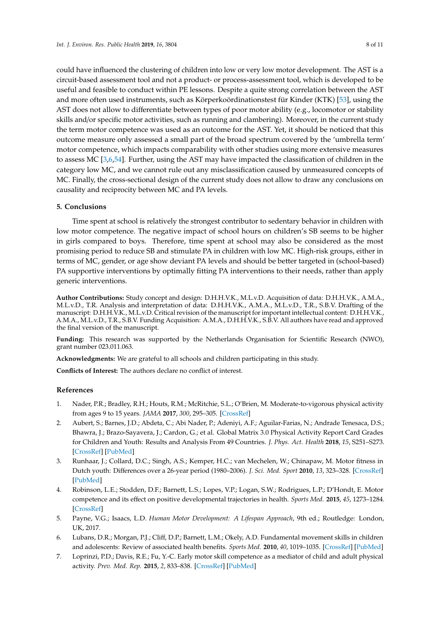could have influenced the clustering of children into low or very low motor development. The AST is a circuit-based assessment tool and not a product- or process-assessment tool, which is developed to be useful and feasible to conduct within PE lessons. Despite a quite strong correlation between the AST and more often used instruments, such as Körperkoördinationstest für Kinder (KTK) [\[53\]](#page-10-6), using the AST does not allow to differentiate between types of poor motor ability (e.g., locomotor or stability skills and/or specific motor activities, such as running and clambering). Moreover, in the current study the term motor competence was used as an outcome for the AST. Yet, it should be noticed that this outcome measure only assessed a small part of the broad spectrum covered by the 'umbrella term' motor competence, which impacts comparability with other studies using more extensive measures to assess MC [\[3,](#page-7-2)[6,](#page-7-5)[54\]](#page-10-7). Further, using the AST may have impacted the classification of children in the category low MC, and we cannot rule out any misclassification caused by unmeasured concepts of MC. Finally, the cross-sectional design of the current study does not allow to draw any conclusions on causality and reciprocity between MC and PA levels.

# **5. Conclusions**

Time spent at school is relatively the strongest contributor to sedentary behavior in children with low motor competence. The negative impact of school hours on children's SB seems to be higher in girls compared to boys. Therefore, time spent at school may also be considered as the most promising period to reduce SB and stimulate PA in children with low MC. High-risk groups, either in terms of MC, gender, or age show deviant PA levels and should be better targeted in (school-based) PA supportive interventions by optimally fitting PA interventions to their needs, rather than apply generic interventions.

**Author Contributions:** Study concept and design: D.H.H.V.K., M.L.v.D. Acquisition of data: D.H.H.V.K., A.M.A., M.L.v.D., T.R. Analysis and interpretation of data: D.H.H.V.K., A.M.A., M.L.v.D., T.R., S.B.V. Drafting of the manuscript: D.H.H.V.K., M.L.v.D. Critical revision of the manuscript for important intellectual content: D.H.H.V.K., A.M.A., M.L.v.D., T.R., S.B.V. Funding Acquisition: A.M.A., D.H.H.V.K., S.B.V. All authors have read and approved the final version of the manuscript.

**Funding:** This research was supported by the Netherlands Organisation for Scientific Research (NWO), grant number 023.011.063.

**Acknowledgments:** We are grateful to all schools and children participating in this study.

**Conflicts of Interest:** The authors declare no conflict of interest.

#### **References**

- <span id="page-7-0"></span>1. Nader, P.R.; Bradley, R.H.; Houts, R.M.; McRitchie, S.L.; O'Brien, M. Moderate-to-vigorous physical activity from ages 9 to 15 years. *JAMA* **2017**, *300*, 295–305. [\[CrossRef\]](http://dx.doi.org/10.1001/jama.300.3.295)
- <span id="page-7-1"></span>2. Aubert, S.; Barnes, J.D.; Abdeta, C.; Abi Nader, P.; Adeniyi, A.F.; Aguilar-Farias, N.; Andrade Tenesaca, D.S.; Bhawra, J.; Brazo-Sayavera, J.; Cardon, G.; et al. Global Matrix 3.0 Physical Activity Report Card Grades for Children and Youth: Results and Analysis From 49 Countries. *J. Phys. Act. Health* **2018**, *15*, S251–S273. [\[CrossRef\]](http://dx.doi.org/10.1123/jpah.2018-0472) [\[PubMed\]](http://www.ncbi.nlm.nih.gov/pubmed/30475137)
- <span id="page-7-2"></span>3. Runhaar, J.; Collard, D.C.; Singh, A.S.; Kemper, H.C.; van Mechelen, W.; Chinapaw, M. Motor fitness in Dutch youth: Differences over a 26-year period (1980–2006). *J. Sci. Med. Sport* **2010**, *13*, 323–328. [\[CrossRef\]](http://dx.doi.org/10.1016/j.jsams.2009.04.006) [\[PubMed\]](http://www.ncbi.nlm.nih.gov/pubmed/19592305)
- <span id="page-7-3"></span>4. Robinson, L.E.; Stodden, D.F.; Barnett, L.S.; Lopes, V.P.; Logan, S.W.; Rodrigues, L.P.; D'Hondt, E. Motor competence and its effect on positive developmental trajectories in health. *Sports Med.* **2015**, *45*, 1273–1284. [\[CrossRef\]](http://dx.doi.org/10.1007/s40279-015-0351-6)
- <span id="page-7-4"></span>5. Payne, V.G.; Isaacs, L.D. *Human Motor Development: A Lifespan Approach*, 9th ed.; Routledge: London, UK, 2017.
- <span id="page-7-5"></span>6. Lubans, D.R.; Morgan, P.J.; Cliff, D.P.; Barnett, L.M.; Okely, A.D. Fundamental movement skills in children and adolescents: Review of associated health benefits. *Sports Med.* **2010**, *40*, 1019–1035. [\[CrossRef\]](http://dx.doi.org/10.2165/11536850-000000000-00000) [\[PubMed\]](http://www.ncbi.nlm.nih.gov/pubmed/21058749)
- 7. Loprinzi, P.D.; Davis, R.E.; Fu, Y.-C. Early motor skill competence as a mediator of child and adult physical activity. *Prev. Med. Rep.* **2015**, *2*, 833–838. [\[CrossRef\]](http://dx.doi.org/10.1016/j.pmedr.2015.09.015) [\[PubMed\]](http://www.ncbi.nlm.nih.gov/pubmed/26844157)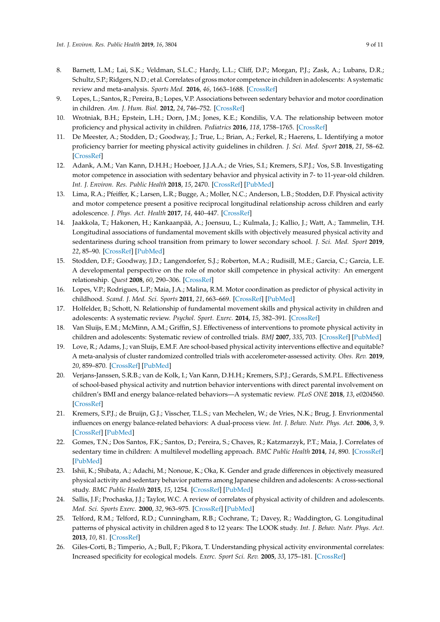- <span id="page-8-0"></span>8. Barnett, L.M.; Lai, S.K.; Veldman, S.L.C.; Hardy, L.L.; Cliff, D.P.; Morgan, P.J.; Zask, A.; Lubans, D.R.; Schultz, S.P.; Ridgers, N.D.; et al. Correlates of gross motor competence in children in adolescents: A systematic review and meta-analysis. *Sports Med.* **2016**, *46*, 1663–1688. [\[CrossRef\]](http://dx.doi.org/10.1007/s40279-016-0495-z)
- <span id="page-8-1"></span>9. Lopes, L.; Santos, R.; Pereira, B.; Lopes, V.P. Associations between sedentary behavior and motor coordination in children. *Am. J. Hum. Biol.* **2012**, *24*, 746–752. [\[CrossRef\]](http://dx.doi.org/10.1002/ajhb.22310)
- <span id="page-8-2"></span>10. Wrotniak, B.H.; Epstein, L.H.; Dorn, J.M.; Jones, K.E.; Kondilis, V.A. The relationship between motor proficiency and physical activity in children. *Pediatrics* **2016**, *118*, 1758–1765. [\[CrossRef\]](http://dx.doi.org/10.1542/peds.2006-0742)
- <span id="page-8-3"></span>11. De Meester, A.; Stodden, D.; Goodway, J.; True, L.; Brian, A.; Ferkel, R.; Haerens, L. Identifying a motor proficiency barrier for meeting physical activity guidelines in children. *J. Sci. Med. Sport* **2018**, *21*, 58–62. [\[CrossRef\]](http://dx.doi.org/10.1016/j.jsams.2017.05.007)
- <span id="page-8-4"></span>12. Adank, A.M.; Van Kann, D.H.H.; Hoeboer, J.J.A.A.; de Vries, S.I.; Kremers, S.P.J.; Vos, S.B. Investigating motor competence in association with sedentary behavior and physical activity in 7- to 11-year-old children. *Int. J. Environ. Res. Public Health* **2018**, *15*, 2470. [\[CrossRef\]](http://dx.doi.org/10.3390/ijerph15112470) [\[PubMed\]](http://www.ncbi.nlm.nih.gov/pubmed/30400657)
- <span id="page-8-5"></span>13. Lima, R.A.; Pfeiffer, K.; Larsen, L.R.; Bugge, A.; Moller, N.C.; Anderson, L.B.; Stodden, D.F. Physical activity and motor competence present a positive reciprocal longitudinal relationship across children and early adolescence. *J. Phys. Act. Health* **2017**, *14*, 440–447. [\[CrossRef\]](http://dx.doi.org/10.1123/jpah.2016-0473)
- <span id="page-8-12"></span>14. Jaakkola, T.; Hakonen, H.; Kankaanpää, A.; Joensuu, L.; Kulmala, J.; Kallio, J.; Watt, A.; Tammelin, T.H. Longitudinal associations of fundamental movement skills with objectively measured physical activity and sedentariness during school transition from primary to lower secondary school. *J. Sci. Med. Sport* **2019**, *22*, 85–90. [\[CrossRef\]](http://dx.doi.org/10.1016/j.jsams.2018.07.012) [\[PubMed\]](http://www.ncbi.nlm.nih.gov/pubmed/30098976)
- <span id="page-8-6"></span>15. Stodden, D.F.; Goodway, J.D.; Langendorfer, S.J.; Roberton, M.A.; Rudisill, M.E.; Garcia, C.; Garcia, L.E. A developmental perspective on the role of motor skill competence in physical activity: An emergent relationship. *Quest* **2008**, *60*, 290–306. [\[CrossRef\]](http://dx.doi.org/10.1080/00336297.2008.10483582)
- <span id="page-8-18"></span>16. Lopes, V.P.; Rodrigues, L.P.; Maia, J.A.; Malina, R.M. Motor coordination as predictor of physical activity in childhood. *Scand. J. Med. Sci. Sports* **2011**, *21*, 663–669. [\[CrossRef\]](http://dx.doi.org/10.1111/j.1600-0838.2009.01027.x) [\[PubMed\]](http://www.ncbi.nlm.nih.gov/pubmed/21917017)
- <span id="page-8-7"></span>17. Holfelder, B.; Schott, N. Relationship of fundamental movement skills and physical activity in children and adolescents: A systematic review. *Psychol. Sport. Exerc.* **2014**, *15*, 382–391. [\[CrossRef\]](http://dx.doi.org/10.1016/j.psychsport.2014.03.005)
- <span id="page-8-8"></span>18. Van Sluijs, E.M.; McMinn, A.M.; Griffin, S.J. Effectiveness of interventions to promote physical activity in children and adolescents: Systematic review of controlled trials. *BMJ* **2007**, *335*, 703. [\[CrossRef\]](http://dx.doi.org/10.1136/bmj.39320.843947.BE) [\[PubMed\]](http://www.ncbi.nlm.nih.gov/pubmed/17884863)
- <span id="page-8-9"></span>19. Love, R.; Adams, J.; van Sluijs, E.M.F. Are school-based physical activity interventions effective and equitable? A meta-analysis of cluster randomized controlled trials with accelerometer-assessed activity. *Obes. Rev.* **2019**, *20*, 859–870. [\[CrossRef\]](http://dx.doi.org/10.1111/obr.12823) [\[PubMed\]](http://www.ncbi.nlm.nih.gov/pubmed/30628172)
- <span id="page-8-10"></span>20. Verjans-Janssen, S.R.B.; van de Kolk, I.; Van Kann, D.H.H.; Kremers, S.P.J.; Gerards, S.M.P.L. Effectiveness of school-based physical activity and nutrtion behavior interventions with direct parental involvement on children's BMI and energy balance-related behaviors—A systematic review. *PLoS ONE* **2018**, *13*, e0204560. [\[CrossRef\]](http://dx.doi.org/10.1371/journal.pone.0204560)
- <span id="page-8-11"></span>21. Kremers, S.P.J.; de Bruijn, G.J.; Visscher, T.L.S.; van Mechelen, W.; de Vries, N.K.; Brug, J. Envrionmental influences on energy balance-related behaviors: A dual-process view. *Int. J. Behav. Nutr. Phys. Act.* **2006**, *3*, 9. [\[CrossRef\]](http://dx.doi.org/10.1186/1479-5868-3-9) [\[PubMed\]](http://www.ncbi.nlm.nih.gov/pubmed/16700907)
- <span id="page-8-13"></span>22. Gomes, T.N.; Dos Santos, F.K.; Santos, D.; Pereira, S.; Chaves, R.; Katzmarzyk, P.T.; Maia, J. Correlates of sedentary time in children: A multilevel modelling approach. *BMC Public Health* **2014**, *14*, 890. [\[CrossRef\]](http://dx.doi.org/10.1186/1471-2458-14-890) [\[PubMed\]](http://www.ncbi.nlm.nih.gov/pubmed/25174736)
- <span id="page-8-14"></span>23. Ishii, K.; Shibata, A.; Adachi, M.; Nonoue, K.; Oka, K. Gender and grade differences in objectively measured physical activity and sedentary behavior patterns among Japanese children and adolescents: A cross-sectional study. *BMC Public Health* **2015**, *15*, 1254. [\[CrossRef\]](http://dx.doi.org/10.1186/s12889-015-2607-3) [\[PubMed\]](http://www.ncbi.nlm.nih.gov/pubmed/26679503)
- <span id="page-8-17"></span>24. Sallis, J.F.; Prochaska, J.J.; Taylor, W.C. A review of correlates of physical activity of children and adolescents. *Med. Sci. Sports Exerc.* **2000**, *32*, 963–975. [\[CrossRef\]](http://dx.doi.org/10.1097/00005768-200005000-00014) [\[PubMed\]](http://www.ncbi.nlm.nih.gov/pubmed/10795788)
- <span id="page-8-15"></span>25. Telford, R.M.; Telford, R.D.; Cunningham, R.B.; Cochrane, T.; Davey, R.; Waddington, G. Longitudinal patterns of physical activity in children aged 8 to 12 years: The LOOK study. *Int. J. Behav. Nutr. Phys. Act.* **2013**, *10*, 81. [\[CrossRef\]](http://dx.doi.org/10.1186/1479-5868-10-81)
- <span id="page-8-16"></span>26. Giles-Corti, B.; Timperio, A.; Bull, F.; Pikora, T. Understanding physical activity environmental correlates: Increased specificity for ecological models. *Exerc. Sport Sci. Rev.* **2005**, *33*, 175–181. [\[CrossRef\]](http://dx.doi.org/10.1097/00003677-200510000-00005)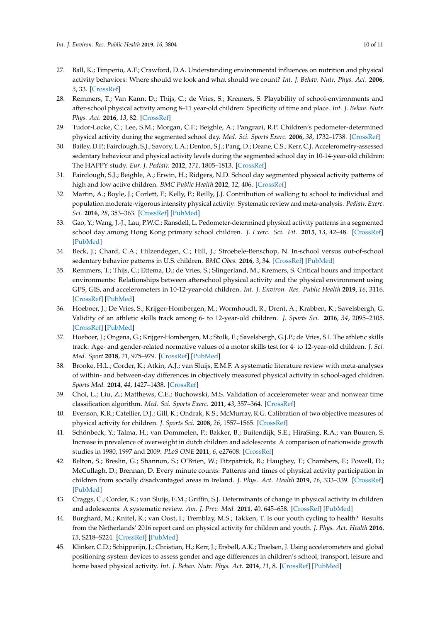- <span id="page-9-0"></span>27. Ball, K.; Timperio, A.F.; Crawford, D.A. Understanding environmental influences on nutrition and physical activity behaviors: Where should we look and what should we count? *Int. J. Behav. Nutr. Phys. Act.* **2006**, *3*, 33. [\[CrossRef\]](http://dx.doi.org/10.1186/1479-5868-3-33)
- <span id="page-9-1"></span>28. Remmers, T.; Van Kann, D.; Thijs, C.; de Vries, S.; Kremers, S. Playability of school-environments and after-school physical activity among 8–11 year-old children: Specificity of time and place. *Int. J. Behav. Nutr. Phys. Act.* **2016**, *13*, 82. [\[CrossRef\]](http://dx.doi.org/10.1186/s12966-016-0407-5)
- <span id="page-9-2"></span>29. Tudor-Locke, C.; Lee, S.M.; Morgan, C.F.; Beighle, A.; Pangrazi, R.P. Children's pedometer-determined physical activity during the segmented school day. *Med. Sci. Sports Exerc.* **2006**, *38*, 1732–1738. [\[CrossRef\]](http://dx.doi.org/10.1249/01.mss.0000230212.55119.98)
- <span id="page-9-17"></span>30. Bailey, D.P.; Fairclough, S.J.; Savory, L.A.; Denton, S.J.; Pang, D.; Deane, C.S.; Kerr, C.J. Accelerometry-assessed sedentary behaviour and physical activity levels during the segmented school day in 10-14-year-old children: The HAPPY study. *Eur. J. Pediatr.* **2012**, *171*, 1805–1813. [\[CrossRef\]](http://dx.doi.org/10.1007/s00431-012-1827-0)
- <span id="page-9-3"></span>31. Fairclough, S.J.; Beighle, A.; Erwin, H.; Ridgers, N.D. School day segmented physical activity patterns of high and low active children. *BMC Public Health* **2012**, *12*, 406. [\[CrossRef\]](http://dx.doi.org/10.1186/1471-2458-12-406)
- <span id="page-9-4"></span>32. Martin, A.; Boyle, J.; Corlett, F.; Kelly, P.; Reilly, J.J. Contribution of walking to school to individual and population moderate-vigorous intensity physical activity: Systematic review and meta-analysis. *Pediatr. Exerc. Sci.* **2016**, *28*, 353–363. [\[CrossRef\]](http://dx.doi.org/10.1123/pes.2015-0207) [\[PubMed\]](http://www.ncbi.nlm.nih.gov/pubmed/26882871)
- <span id="page-9-5"></span>33. Gao, Y.; Wang, J.-J.; Lau, P.W.C.; Ransdell, L. Pedometer-determined physical activity patterns in a segmented school day among Hong Kong primary school children. *J. Exerc. Sci. Fit.* **2015**, *13*, 42–48. [\[CrossRef\]](http://dx.doi.org/10.1016/j.jesf.2015.03.002) [\[PubMed\]](http://www.ncbi.nlm.nih.gov/pubmed/29541098)
- <span id="page-9-18"></span>34. Beck, J.; Chard, C.A.; Hilzendegen, C.; Hill, J.; Stroebele-Benschop, N. In-school versus out-of-school sedentary behavior patterns in U.S. children. *BMC Obes.* **2016**, *3*, 34. [\[CrossRef\]](http://dx.doi.org/10.1186/s40608-016-0115-3) [\[PubMed\]](http://www.ncbi.nlm.nih.gov/pubmed/27437117)
- <span id="page-9-6"></span>35. Remmers, T.; Thijs, C.; Ettema, D.; de Vries, S.; Slingerland, M.; Kremers, S. Critical hours and important environments: Relationships between afterschool physical activity and the physical environment using GPS, GIS, and accelerometers in 10-12-year-old children. *Int. J. Environ. Res. Public Health* **2019**, *16*, 3116. [\[CrossRef\]](http://dx.doi.org/10.3390/ijerph16173116) [\[PubMed\]](http://www.ncbi.nlm.nih.gov/pubmed/31461924)
- <span id="page-9-7"></span>36. Hoeboer, J.; De Vries, S.; Krijger-Hombergen, M.; Wormhoudt, R.; Drent, A.; Krabben, K.; Savelsbergh, G. Validity of an athletic skills track among 6- to 12-year-old children. *J. Sports Sci.* **2016**, *34*, 2095–2105. [\[CrossRef\]](http://dx.doi.org/10.1080/02640414.2016.1151920) [\[PubMed\]](http://www.ncbi.nlm.nih.gov/pubmed/26939984)
- <span id="page-9-8"></span>37. Hoeboer, J.; Ongena, G.; Krijger-Hombergen, M.; Stolk, E.; Savelsbergh, G.J.P.; de Vries, S.I. The athletic skills track: Age- and gender-related normative values of a motor skills test for 4- to 12-year-old children. *J. Sci. Med. Sport* **2018**, *21*, 975–979. [\[CrossRef\]](http://dx.doi.org/10.1016/j.jsams.2018.01.014) [\[PubMed\]](http://www.ncbi.nlm.nih.gov/pubmed/29428503)
- <span id="page-9-9"></span>38. Brooke, H.L.; Corder, K.; Atkin, A.J.; van Sluijs, E.M.F. A systematic literature review with meta-analyses of within- and between-day differences in objectively measured physical activity in school-aged children. *Sports Med.* **2014**, *44*, 1427–1438. [\[CrossRef\]](http://dx.doi.org/10.1007/s40279-014-0215-5)
- <span id="page-9-10"></span>39. Choi, L.; Liu, Z.; Matthews, C.E.; Buchowski, M.S. Validation of accelerometer wear and nonwear time classification algorithm. *Med. Sci. Sports Exerc.* **2011**, *43*, 357–364. [\[CrossRef\]](http://dx.doi.org/10.1249/MSS.0b013e3181ed61a3)
- <span id="page-9-11"></span>40. Evenson, K.R.; Catellier, D.J.; Gill, K.; Ondrak, K.S.; McMurray, R.G. Calibration of two objective measures of physical activity for children. *J. Sports Sci.* **2008**, *26*, 1557–1565. [\[CrossRef\]](http://dx.doi.org/10.1080/02640410802334196)
- <span id="page-9-12"></span>41. Schönbeck, Y.; Talma, H.; van Dommelen, P.; Bakker, B.; Buitendijk, S.E.; HiraSing, R.A.; van Buuren, S. Increase in prevalence of overweight in dutch children and adolescents: A comparison of nationwide growth studies in 1980, 1997 and 2009. *PLoS ONE* **2011**, *6*, e27608. [\[CrossRef\]](http://dx.doi.org/10.1371/journal.pone.0027608)
- <span id="page-9-13"></span>42. Belton, S.; Breslin, G.; Shannon, S.; O'Brien, W.; Fitzpatrick, B.; Haughey, T.; Chambers, F.; Powell, D.; McCullagh, D.; Brennan, D. Every minute counts: Patterns and times of physical activity participation in children from socially disadvantaged areas in Ireland. *J. Phys. Act. Health* **2019**, *16*, 333–339. [\[CrossRef\]](http://dx.doi.org/10.1123/jpah.2018-0368) [\[PubMed\]](http://www.ncbi.nlm.nih.gov/pubmed/30971160)
- <span id="page-9-14"></span>43. Craggs, C.; Corder, K.; van Sluijs, E.M.; Griffin, S.J. Determinants of change in physical activity in children and adolescents: A systematic review. *Am. J. Prev. Med.* **2011**, *40*, 645–658. [\[CrossRef\]](http://dx.doi.org/10.1016/j.amepre.2011.02.025) [\[PubMed\]](http://www.ncbi.nlm.nih.gov/pubmed/21565658)
- <span id="page-9-15"></span>44. Burghard, M.; Knitel, K.; van Oost, I.; Tremblay, M.S.; Takken, T. Is our youth cycling to health? Results from the Netherlands' 2016 report card on physical activity for children and youth. *J. Phys. Act. Health* **2016**, *13*, S218–S224. [\[CrossRef\]](http://dx.doi.org/10.1123/jpah.2016-0299) [\[PubMed\]](http://www.ncbi.nlm.nih.gov/pubmed/27848743)
- <span id="page-9-16"></span>45. Klinker, C.D.; Schipperijn, J.; Christian, H.; Kerr, J.; Ersbøll, A.K.; Troelsen, J. Using accelerometers and global positioning system devices to assess gender and age differences in children's school, transport, leisure and home based physical activity. *Int. J. Behav. Nutr. Phys. Act.* **2014**, *11*, 8. [\[CrossRef\]](http://dx.doi.org/10.1186/1479-5868-11-8) [\[PubMed\]](http://www.ncbi.nlm.nih.gov/pubmed/24457029)